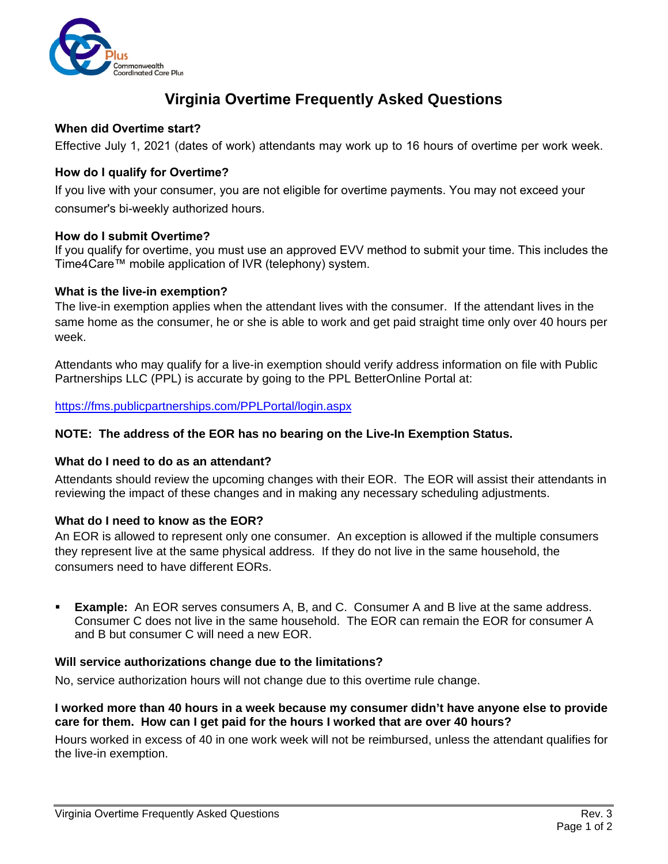

# **Virginia Overtime Frequently Asked Questions**

# **When did Overtime start?**

Effective July 1, 2021 (dates of work) attendants may work up to 16 hours of overtime per work week.

# **How do I qualify for Overtime?**

If you live with your consumer, you are not eligible for overtime payments. You may not exceed your consumer's bi-weekly authorized hours.

## **How do I submit Overtime?**

If you qualify for overtime, you must use an approved EVV method to submit your time. This includes the Time4Care™ mobile application of IVR (telephony) system.

#### **What is the live-in exemption?**

The live-in exemption applies when the attendant lives with the consumer. If the attendant lives in the same home as the consumer, he or she is able to work and get paid straight time only over 40 hours per week.

Attendants who may qualify for a live-in exemption should verify address information on file with Public Partnerships LLC (PPL) is accurate by going to the PPL BetterOnline Portal at:

https://fms.publicpartnerships.com/PPLPortal/login.aspx

#### **[NOTE: The address of the EOR](https://fms.publicpartnerships.com/PPLPortal/login.aspx) has no bearing on the Live-In Exemption Status.**

#### **What do I need to do as an attendant?**

Attendants should review the upcoming changes with their EOR. The EOR will assist their attendants in reviewing the impact of these changes and in making any necessary scheduling adjustments.

## **What do I need to know as the EOR?**

An EOR is allowed to represent only one consumer. An exception is allowed if the multiple consumers they represent live at the same physical address. If they do not live in the same household, the consumers need to have different EORs.

 **Example:** An EOR serves consumers A, B, and C. Consumer A and B live at the same address. Consumer C does not live in the same household. The EOR can remain the EOR for consumer A and B but consumer C will need a new EOR.

#### **Will service authorizations change due to the limitations?**

No, service authorization hours will not change due to this overtime rule change.

## **I worked more than 40 hours in a week because my consumer didn't have anyone else to provide care for them. How can I get paid for the hours I worked that are over 40 hours?**

Hours worked in excess of 40 in one work week will not be reimbursed, unless the attendant qualifies for the live-in exemption.